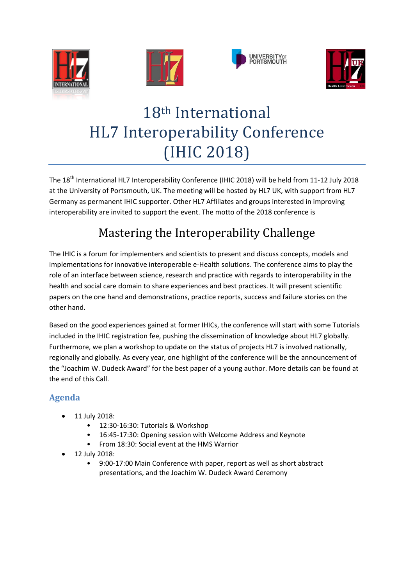







# 18th International HL7 Interoperability Conference (IHIC 2018)

The 18<sup>th</sup> International HL7 Interoperability Conference (IHIC 2018) will be held from 11-12 July 2018 at the University of Portsmouth, UK. The meeting will be hosted by HL7 UK, with support from HL7 Germany as permanent IHIC supporter. Other HL7 Affiliates and groups interested in improving interoperability are invited to support the event. The motto of the 2018 conference is

# Mastering the Interoperability Challenge

The IHIC is a forum for implementers and scientists to present and discuss concepts, models and implementations for innovative interoperable e-Health solutions. The conference aims to play the role of an interface between science, research and practice with regards to interoperability in the health and social care domain to share experiences and best practices. It will present scientific papers on the one hand and demonstrations, practice reports, success and failure stories on the other hand.

Based on the good experiences gained at former IHICs, the conference will start with some Tutorials included in the IHIC registration fee, pushing the dissemination of knowledge about HL7 globally. Furthermore, we plan a workshop to update on the status of projects HL7 is involved nationally, regionally and globally. As every year, one highlight of the conference will be the announcement of the "Joachim W. Dudeck Award" for the best paper of a young author. More details can be found at the end of this Call.

# **Agenda**

- 11 July 2018:
	- 12:30-16:30: Tutorials & Workshop
	- 16:45-17:30: Opening session with Welcome Address and Keynote
	- From 18:30: Social event at the HMS Warrior
- 12 July 2018:
	- 9:00-17:00 Main Conference with paper, report as well as short abstract presentations, and the Joachim W. Dudeck Award Ceremony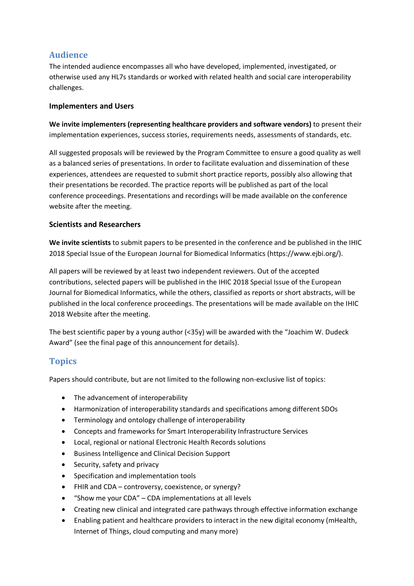# **Audience**

The intended audience encompasses all who have developed, implemented, investigated, or otherwise used any HL7s standards or worked with related health and social care interoperability challenges.

#### **Implementers and Users**

**We invite implementers (representing healthcare providers and software vendors)** to present their implementation experiences, success stories, requirements needs, assessments of standards, etc.

All suggested proposals will be reviewed by the Program Committee to ensure a good quality as well as a balanced series of presentations. In order to facilitate evaluation and dissemination of these experiences, attendees are requested to submit short practice reports, possibly also allowing that their presentations be recorded. The practice reports will be published as part of the local conference proceedings. Presentations and recordings will be made available on the conference website after the meeting.

#### **Scientists and Researchers**

**We invite scientists** to submit papers to be presented in the conference and be published in the IHIC 2018 Special Issue of the European Journal for Biomedical Informatics (https://www.ejbi.org/).

All papers will be reviewed by at least two independent reviewers. Out of the accepted contributions, selected papers will be published in the IHIC 2018 Special Issue of the European Journal for Biomedical Informatics, while the others, classified as reports or short abstracts, will be published in the local conference proceedings. The presentations will be made available on the IHIC 2018 Website after the meeting.

The best scientific paper by a young author (<35y) will be awarded with the "Joachim W. Dudeck Award" (see the final page of this announcement for details).

# **Topics**

Papers should contribute, but are not limited to the following non-exclusive list of topics:

- The advancement of interoperability
- Harmonization of interoperability standards and specifications among different SDOs
- Terminology and ontology challenge of interoperability
- Concepts and frameworks for Smart Interoperability Infrastructure Services
- Local, regional or national Electronic Health Records solutions
- Business Intelligence and Clinical Decision Support
- Security, safety and privacy
- Specification and implementation tools
- FHIR and CDA controversy, coexistence, or synergy?
- "Show me your CDA" CDA implementations at all levels
- Creating new clinical and integrated care pathways through effective information exchange
- Enabling patient and healthcare providers to interact in the new digital economy (mHealth, Internet of Things, cloud computing and many more)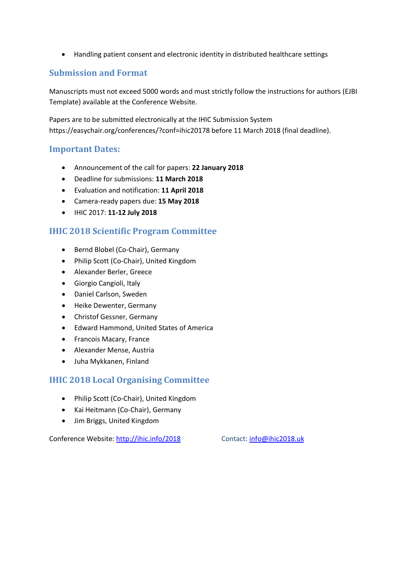• Handling patient consent and electronic identity in distributed healthcare settings

## **Submission and Format**

Manuscripts must not exceed 5000 words and must strictly follow the instructions for authors (EJBI Template) available at the Conference Website.

Papers are to be submitted electronically at the IHIC Submission System https://easychair.org/conferences/?conf=ihic20178 before 11 March 2018 (final deadline).

#### **Important Dates:**

- Announcement of the call for papers: **22 January 2018**
- Deadline for submissions: **11 March 2018**
- Evaluation and notification: **11 April 2018**
- Camera-ready papers due: **15 May 2018**
- IHIC 2017: **11-12 July 2018**

#### **IHIC 2018 Scientific Program Committee**

- Bernd Blobel (Co-Chair), Germany
- Philip Scott (Co-Chair), United Kingdom
- Alexander Berler, Greece
- Giorgio Cangioli, Italy
- Daniel Carlson, Sweden
- Heike Dewenter, Germany
- Christof Gessner, Germany
- Edward Hammond, United States of America
- Francois Macary, France
- Alexander Mense, Austria
- Juha Mykkanen, Finland

## **IHIC 2018 Local Organising Committee**

- Philip Scott (Co-Chair), United Kingdom
- Kai Heitmann (Co-Chair), Germany
- Jim Briggs, United Kingdom

Conference Website:<http://ihic.info/2018> Contact: [info@ihic2018.uk](mailto:info@ihic2018.uk)